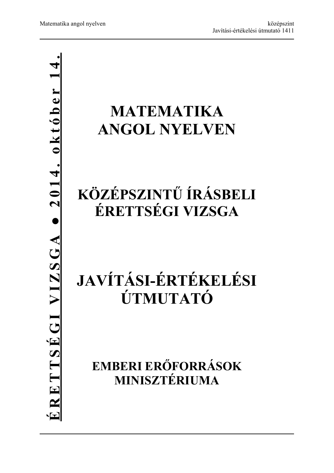# **● 2014. október 14.**<u>ÉRETTSÉGI VIZSGA • 2014. október</u> **ÉRETTSÉGI VIZSGA**

# **MATEMATIKA ANGOL NYELVEN**

# **KÖZÉPSZINTŰ ÍRÁSBELI ÉRETTSÉGI VIZSGA**

# **JAVÍTÁSI-ÉRTÉKELÉSI ÚTMUTATÓ**

**EMBERI ERŐFORRÁSOK MINISZTÉRIUMA**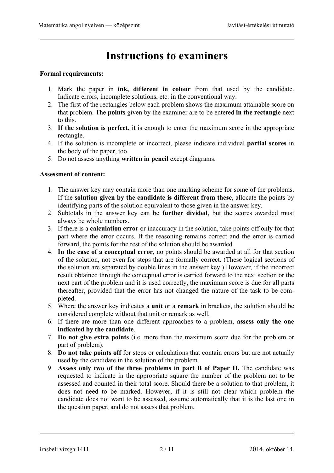# **Instructions to examiners**

#### **Formal requirements:**

- 1. Mark the paper in **ink, different in colour** from that used by the candidate. Indicate errors, incomplete solutions, etc. in the conventional way.
- 2. The first of the rectangles below each problem shows the maximum attainable score on that problem. The **points** given by the examiner are to be entered **in the rectangle** next to this.
- 3. **If the solution is perfect,** it is enough to enter the maximum score in the appropriate rectangle.
- 4. If the solution is incomplete or incorrect, please indicate individual **partial scores** in the body of the paper, too.
- 5. Do not assess anything **written in pencil** except diagrams.

#### **Assessment of content:**

- 1. The answer key may contain more than one marking scheme for some of the problems. If the **solution given by the candidate is different from these**, allocate the points by identifying parts of the solution equivalent to those given in the answer key.
- 2. Subtotals in the answer key can be **further divided**, but the scores awarded must always be whole numbers.
- 3. If there is a **calculation error** or inaccuracy in the solution, take points off only for that part where the error occurs. If the reasoning remains correct and the error is carried forward, the points for the rest of the solution should be awarded.
- 4. **In the case of a conceptual error,** no points should be awarded at all for that section of the solution, not even for steps that are formally correct. (These logical sections of the solution are separated by double lines in the answer key.) However, if the incorrect result obtained through the conceptual error is carried forward to the next section or the next part of the problem and it is used correctly, the maximum score is due for all parts thereafter, provided that the error has not changed the nature of the task to be completed.
- 5. Where the answer key indicates a **unit** or a **remark** in brackets, the solution should be considered complete without that unit or remark as well.
- 6. If there are more than one different approaches to a problem, **assess only the one indicated by the candidate**.
- 7. **Do not give extra points** (i.e. more than the maximum score due for the problem or part of problem).
- 8. **Do not take points off** for steps or calculations that contain errors but are not actually used by the candidate in the solution of the problem.
- 9. **Assess only two of the three problems in part B of Paper II.** The candidate was requested to indicate in the appropriate square the number of the problem not to be assessed and counted in their total score. Should there be a solution to that problem, it does not need to be marked. However, if it is still not clear which problem the candidate does not want to be assessed, assume automatically that it is the last one in the question paper, and do not assess that problem.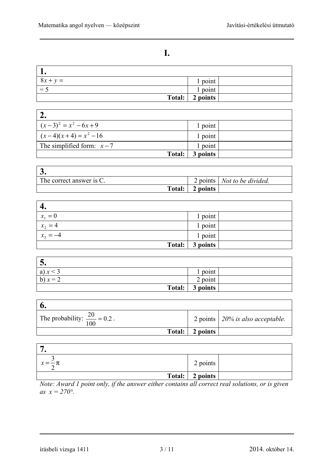٦

### **I.**

| $8x + y =$ | 1 point  |  |
|------------|----------|--|
| $=$ $\sim$ | l point  |  |
| Total:     | 2 points |  |

| $(x-3)^2 = x^2 - 6x + 9$   | 1 point  |  |
|----------------------------|----------|--|
| $(x-4)(x+4) = x^2 - 16$    | 1 point  |  |
| The simplified form: $x-7$ | 1 point  |  |
| Total:                     | 3 points |  |

| J.                          |        |          |                                      |
|-----------------------------|--------|----------|--------------------------------------|
| The correct answer is $C$ . |        |          | 2 points   <i>Not to be divided.</i> |
|                             | Total: | 2 points |                                      |

| 4.                |          |  |
|-------------------|----------|--|
| $x_1 = 0$         | 1 point  |  |
| $x_{2}$<br>$=4$   | 1 point  |  |
| $x_{3}$<br>$= -4$ | 1 point  |  |
| Total:            | 3 points |  |

| J.         |          |  |
|------------|----------|--|
| a) $x < 3$ | point    |  |
| b) $x = 2$ | 2 point  |  |
| Total:     | 3 points |  |

| The probability: $\frac{20}{100} = 0.2$ . |          | 2 points $\vert$ 20% is also acceptable. |
|-------------------------------------------|----------|------------------------------------------|
| Total:                                    | 2 points |                                          |

| $x=\frac{3}{2}\pi$ | 2 points          |  |
|--------------------|-------------------|--|
|                    | Total:   2 points |  |

*Note: Award 1 point only, if the answer either contains all correct real solutions, or is given as*  $x = 270^{\circ}$ .

írásbeli vizsga 1411 3 / 11 2014. október 14.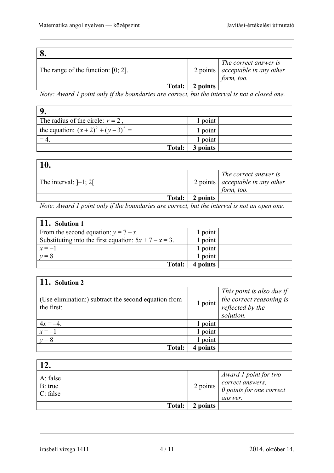| The range of the function: $[0; 2]$ . |          | The correct answer is<br>$2$ points $\vert$ acceptable in any other<br>form, too. |
|---------------------------------------|----------|-----------------------------------------------------------------------------------|
| Total:                                | 2 points |                                                                                   |

*Note: Award 1 point only if the boundaries are correct, but the interval is not a closed one.* 

| The radius of the circle: $r = 2$ , | point    |  |
|-------------------------------------|----------|--|
| the equation: $(x+2)^2 + (y-3)^2 =$ | 1 point  |  |
|                                     | point    |  |
| Total:                              | 3 points |  |

| 10.                     |        |          |                                                                                 |
|-------------------------|--------|----------|---------------------------------------------------------------------------------|
| The interval: $]-1; 2[$ |        |          | The correct answer is<br>2 points $\vert$ acceptable in any other<br>form, too. |
|                         | Total: | 2 points |                                                                                 |
|                         |        |          |                                                                                 |

*Note: Award 1 point only if the boundaries are correct, but the interval is not an open one.* 

| 11. Solution 1                                           |          |  |
|----------------------------------------------------------|----------|--|
| From the second equation: $y = 7 - x$ .                  | point    |  |
| Substituting into the first equation: $5x + 7 - x = 3$ . | 1 point  |  |
| $x = -1$                                                 | point    |  |
| $y=8$                                                    | point    |  |
| Total:                                                   | 4 points |  |

| $\vert$ 11. Solution 2                                             |             |                                                                                        |
|--------------------------------------------------------------------|-------------|----------------------------------------------------------------------------------------|
| (Use elimination:) subtract the second equation from<br>the first: | 1 point     | This point is also due if<br>the correct reasoning is<br>reflected by the<br>solution. |
| $4x = -4$                                                          | 1 point     |                                                                                        |
| $x=-1$                                                             | 1 point     |                                                                                        |
| $y=8$                                                              | point       |                                                                                        |
| <b>Total:</b>                                                      | points<br>4 |                                                                                        |

| 17                              |          |                                                                                                                                     |
|---------------------------------|----------|-------------------------------------------------------------------------------------------------------------------------------------|
| A: false<br>B: true<br>C: false |          | Award 1 point for two<br>2 points $\begin{vmatrix} correct \ answers, \\ 0 \ points \ for \ one \ correct \end{vmatrix}$<br>answer. |
| Total:                          | 2 points |                                                                                                                                     |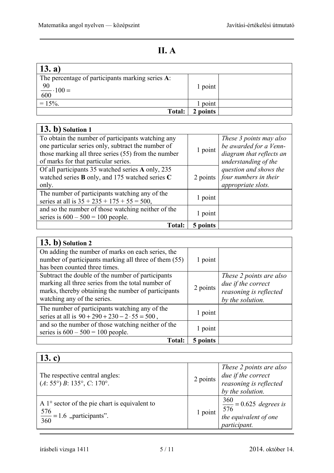## **II. A**

| $\vert$ 13. a)                                   |          |  |
|--------------------------------------------------|----------|--|
| The percentage of participants marking series A: |          |  |
| $\frac{90}{600} \cdot 100 =$                     | 1 point  |  |
|                                                  |          |  |
| $= 15\%$ .                                       | 1 point  |  |
| <b>Total:</b>                                    | 2 points |  |

| 13. b) Solution 1                                             |          |                          |
|---------------------------------------------------------------|----------|--------------------------|
| To obtain the number of participants watching any             |          | These 3 points may also  |
| one particular series only, subtract the number of            | 1 point  | be awarded for a Venn-   |
| those marking all three series (55) from the number           |          | diagram that reflects an |
| of marks for that particular series.                          |          | understanding of the     |
| Of all participants 35 watched series A only, 235             |          | question and shows the   |
| watched series $\bf{B}$ only, and 175 watched series $\bf{C}$ | 2 points | four numbers in their    |
| only.                                                         |          | appropriate slots.       |
| The number of participants watching any of the                | 1 point  |                          |
| series at all is $35 + 235 + 175 + 55 = 500$ ,                |          |                          |
| and so the number of those watching neither of the            |          |                          |
| series is $600 - 500 = 100$ people.                           | 1 point  |                          |
| <b>Total:</b>                                                 | 5 points |                          |

| $(13. b)$ Solution 2                                                                                                                                                                         |          |                                                                                             |
|----------------------------------------------------------------------------------------------------------------------------------------------------------------------------------------------|----------|---------------------------------------------------------------------------------------------|
| On adding the number of marks on each series, the<br>number of participants marking all three of them (55)                                                                                   | 1 point  |                                                                                             |
| has been counted three times.                                                                                                                                                                |          |                                                                                             |
| Subtract the double of the number of participants<br>marking all three series from the total number of<br>marks, thereby obtaining the number of participants<br>watching any of the series. | 2 points | These 2 points are also<br>due if the correct<br>reasoning is reflected<br>by the solution. |
| The number of participants watching any of the<br>series at all is $90 + 290 + 230 - 2 \cdot 55 = 500$ ,                                                                                     | 1 point  |                                                                                             |
| and so the number of those watching neither of the<br>series is $600 - 500 = 100$ people.                                                                                                    | 1 point  |                                                                                             |
| <b>Total:</b>                                                                                                                                                                                | 5 points |                                                                                             |

| 13. c)                                                                                          |          |                                                                                             |  |
|-------------------------------------------------------------------------------------------------|----------|---------------------------------------------------------------------------------------------|--|
| The respective central angles:<br>$(A: 55^{\circ}) B: 135^{\circ}, C: 170^{\circ}.$             | 2 points | These 2 points are also<br>due if the correct<br>reasoning is reflected<br>by the solution. |  |
| A $1^\circ$ sector of the pie chart is equivalent to<br>$\frac{576}{360}$ = 1.6 "participants". | 1 point  | $\frac{360}{576}$ = 0.625 degrees is<br>the equivalent of one<br>participant.               |  |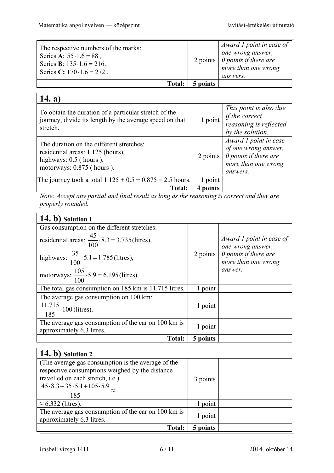| The respective numbers of the marks:<br>Series A: $55 \cdot 1.6 = 88$ ,<br>Series <b>B</b> : $135 \cdot 1.6 = 216$ ,<br>Series C: $170 \cdot 1.6 = 272$ . |               |          | Award 1 point in case of<br>one wrong answer,<br>2 points $\vert$ 0 points if there are<br>more than one wrong<br><i>answers.</i> |
|-----------------------------------------------------------------------------------------------------------------------------------------------------------|---------------|----------|-----------------------------------------------------------------------------------------------------------------------------------|
|                                                                                                                                                           | <b>Total:</b> | 5 points |                                                                                                                                   |

## **14. a)**

| To obtain the duration of a particular stretch of the<br>journey, divide its length by the average speed on that<br>stretch.           | 1 point  | This point is also due<br>if the correct<br>reasoning is reflected<br>by the solution.                           |
|----------------------------------------------------------------------------------------------------------------------------------------|----------|------------------------------------------------------------------------------------------------------------------|
| The duration on the different stretches:<br>residential areas: 1.125 (hours),<br>highways: $0.5$ (hours),<br>motorways: 0.875 (hours). | 2 points | Award 1 point in case<br>of one wrong answer,<br>$\theta$ points if there are<br>more than one wrong<br>answers. |
| The journey took a total $1.125 + 0.5 + 0.875 = 2.5$ hours.                                                                            | point    |                                                                                                                  |
| <b>Total:</b>                                                                                                                          | points   |                                                                                                                  |

*Note: Accept any partial and final result as long as the reasoning is correct and they are properly rounded.* 

| 14. b) Solution 1                                                                |          |                                                                               |
|----------------------------------------------------------------------------------|----------|-------------------------------------------------------------------------------|
| Gas consumption on the different stretches:                                      |          |                                                                               |
| residential areas: $\frac{45}{100} \cdot 8.3 = 3.735$ (litres),                  | 2 points | Award 1 point in case of<br>one wrong answer,<br>$\theta$ points if there are |
| highways: $\frac{35}{100} \cdot 5.1 = 1.785$ (litres),                           |          | more than one wrong                                                           |
| motorways: $\frac{105}{100} \cdot 5.9 = 6.195$ (litres).                         |          | answer.                                                                       |
| The total gas consumption on 185 km is 11.715 litres.                            | 1 point  |                                                                               |
| The average gas consumption on 100 km:<br>$\frac{11.715}{185}$ . 100 (litres).   | 1 point  |                                                                               |
| The average gas consumption of the car on 100 km is<br>approximately 6.3 litres. | 1 point  |                                                                               |
| <b>Total:</b>                                                                    | 5 points |                                                                               |

| $(14. b)$ Solution 2                                |          |  |
|-----------------------------------------------------|----------|--|
| (The average gas consumption is the average of the  |          |  |
| respective consumptions weighed by the distance     |          |  |
| travelled on each stretch, i.e.)                    | 3 points |  |
| $45.8.3 + 35.5.1 + 105.5.9$                         |          |  |
| 185                                                 |          |  |
| $\approx$ 6.332 (litres).                           | 1 point  |  |
| The average gas consumption of the car on 100 km is | 1 point  |  |
| approximately 6.3 litres.                           |          |  |
| Total:                                              | 5 points |  |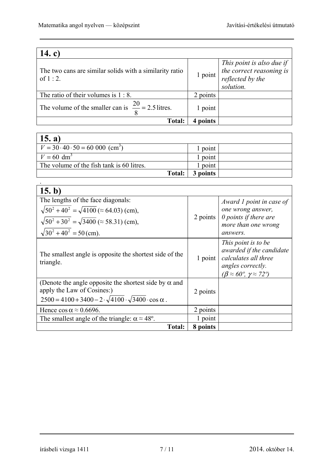| 14. c)                                                                |          |                                                                                        |
|-----------------------------------------------------------------------|----------|----------------------------------------------------------------------------------------|
| The two cans are similar solids with a similarity ratio<br>of $1:2$ . | 1 point  | This point is also due if<br>the correct reasoning is<br>reflected by the<br>solution. |
| The ratio of their volumes is $1:8$ .                                 | 2 points |                                                                                        |
| The volume of the smaller can is $\frac{20}{0}$ = 2.5 litres.         | 1 point  |                                                                                        |
| <b>Total:</b>                                                         | points   |                                                                                        |

| 15. a)                                                |          |  |
|-------------------------------------------------------|----------|--|
| $V = 30 \cdot 40 \cdot 50 = 60000$ (cm <sup>3</sup> ) | 1 point  |  |
| $V = 60$ dm <sup>3</sup>                              | l point  |  |
| The volume of the fish tank is 60 litres.             | l point  |  |
| Total:                                                | 3 points |  |

| 15. b)                                                                                                                                                                         |          |                                                                                                                                                         |
|--------------------------------------------------------------------------------------------------------------------------------------------------------------------------------|----------|---------------------------------------------------------------------------------------------------------------------------------------------------------|
| The lengths of the face diagonals:                                                                                                                                             |          | Award 1 point in case of                                                                                                                                |
| $\sqrt{50^2 + 40^2} = \sqrt{4100}$ ( $\approx$ 64.03) (cm),                                                                                                                    |          | one wrong answer,                                                                                                                                       |
| $\sqrt{50^2 + 30^2} = \sqrt{3400}$ ( $\approx$ 58.31) (cm),                                                                                                                    | 2 points | $\theta$ points if there are<br>more than one wrong                                                                                                     |
| $\sqrt{30^2 + 40^2} = 50$ (cm).                                                                                                                                                |          | answers.                                                                                                                                                |
| The smallest angle is opposite the shortest side of the<br>triangle.                                                                                                           | 1 point  | This point is to be<br>awarded if the candidate<br>calculates all three<br>angles correctly.<br>$(\beta \approx 60^{\circ}, \gamma \approx 72^{\circ})$ |
| (Denote the angle opposite the shortest side by $\alpha$ and<br>apply the Law of Cosines:)<br>$2500 = 4100 + 3400 - 2 \cdot \sqrt{4100} \cdot \sqrt{3400} \cdot \cos \alpha$ . | 2 points |                                                                                                                                                         |
| Hence $\cos \alpha \approx 0.6696$ .                                                                                                                                           | 2 points |                                                                                                                                                         |
| The smallest angle of the triangle: $\alpha \approx 48^{\circ}$ .                                                                                                              | 1 point  |                                                                                                                                                         |
| Total:                                                                                                                                                                         | 8 points |                                                                                                                                                         |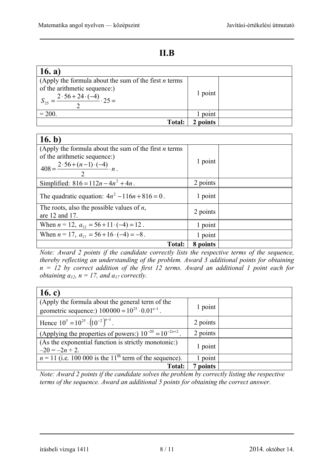٦

| 16. a)                                                                                                                                  |         |  |
|-----------------------------------------------------------------------------------------------------------------------------------------|---------|--|
| (Apply the formula about the sum of the first $n$ terms<br>of the arithmetic sequence:)<br>$2.56 + 24.(-4)$<br>$\frac{1}{2} \cdot 25 =$ | 1 point |  |
| $= 200.$                                                                                                                                | point   |  |
| <b>Total:</b>                                                                                                                           | points  |  |

#### $16h$

| 16. b)                                                                                                                                               |          |  |
|------------------------------------------------------------------------------------------------------------------------------------------------------|----------|--|
| (Apply the formula about the sum of the first $n$ terms<br>of the arithmetic sequence:)<br>$408 = \frac{2 \cdot 56 + (n-1) \cdot (-4)}{2} \cdot n$ . | 1 point  |  |
| Simplified: $816 = 112n - 4n^2 + 4n$ .                                                                                                               | 2 points |  |
| The quadratic equation: $4n^2 - 116n + 816 = 0$ .                                                                                                    | 1 point  |  |
| The roots, also the possible values of $n$ ,<br>are 12 and 17.                                                                                       | 2 points |  |
| When $n = 12$ , $a_{12} = 56 + 11 \cdot (-4) = 12$ .                                                                                                 | 1 point  |  |
| When $n = 17$ , $a_{17} = 56 + 16 \cdot (-4) = -8$ .                                                                                                 | 1 point  |  |
| <b>Total:</b>                                                                                                                                        | 8 points |  |

*Note: Award 2 points if the candidate correctly lists the respective terms of the sequence, thereby reflecting an understanding of the problem. Award 3 additional points for obtaining n = 12 by correct addition of the first 12 terms. Award an additional 1 point each for obtaining*  $a_{12}$ *, n = 17, and*  $a_{17}$  *correctly.* 

| 16. c)                                                                                                         |          |  |
|----------------------------------------------------------------------------------------------------------------|----------|--|
| (Apply the formula about the general term of the<br>geometric sequence:) $100000 = 10^{25} \cdot 0.01^{n-1}$ . | 1 point  |  |
|                                                                                                                |          |  |
| Hence $10^5 = 10^{25} \cdot (10^{-2})^{n-1}$ .                                                                 | 2 points |  |
| (Applying the properties of powers:) $10^{-20} = 10^{-2n+2}$ .                                                 | 2 points |  |
| (As the exponential function is strictly monotonic:)                                                           | 1 point  |  |
| $-20 = -2n + 2$ .                                                                                              |          |  |
| $n = 11$ (i.e. 100 000 is the 11 <sup>th</sup> term of the sequence).                                          | point    |  |
| <b>Total:</b>                                                                                                  | 7 points |  |

*Note: Award 2 points if the candidate solves the problem by correctly listing the respective terms of the sequence. Award an additional 5 points for obtaining the correct answer.* 

írásbeli vizsga 1411 8 / 11 2014. október 14.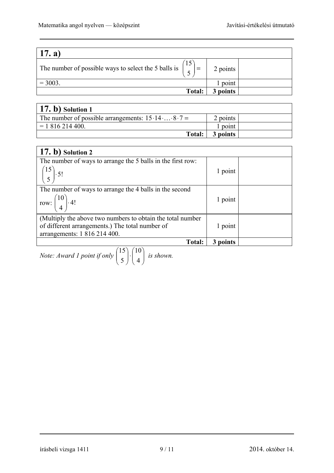| $\vert$ 17. a)                                                                                       |          |  |
|------------------------------------------------------------------------------------------------------|----------|--|
| 15<br>The number of possible ways to select the 5 balls is $\begin{bmatrix} 13 \\ 2 \end{bmatrix}$ = | 2 points |  |
| $= 3003.$                                                                                            | 1 point  |  |
| <b>Total:</b>                                                                                        | 3 points |  |

| $(17. b)$ Solution 1                             |          |  |
|--------------------------------------------------|----------|--|
| The number of possible arrangements: $15.148.7=$ | 2 points |  |
| $= 1816214400.$                                  | l point  |  |
| Total:                                           | 3 points |  |

| $(17. b)$ Solution 2                                        |          |  |
|-------------------------------------------------------------|----------|--|
| The number of ways to arrange the 5 balls in the first row: |          |  |
| $\binom{15}{5}$ . 5!                                        | 1 point  |  |
| The number of ways to arrange the 4 balls in the second     |          |  |
| row: $\begin{pmatrix} 10 \\ 4 \end{pmatrix}$ 4!             | 1 point  |  |
| (Multiply the above two numbers to obtain the total number) |          |  |
| of different arrangements.) The total number of             | 1 point  |  |
| arrangements: 1 816 214 400.                                |          |  |
| <b>Total:</b>                                               | 3 points |  |

*Note: Award 1 point if only*  $\begin{bmatrix} 16 \\ 5 \end{bmatrix}$ J  $\setminus$  $\overline{\phantom{a}}$  $\setminus$ ſ ⋅ J  $\setminus$  $\overline{\phantom{a}}$  $\setminus$ ſ 4 10 5 15 *is shown.* 

írásbeli vizsga 1411 9 / 11 2014. október 14.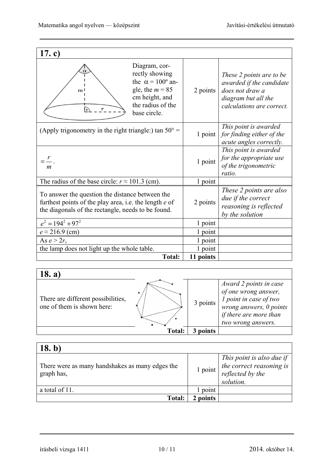| 17. c)                                                                                                                                                                      |           |                                                                                                                             |
|-----------------------------------------------------------------------------------------------------------------------------------------------------------------------------|-----------|-----------------------------------------------------------------------------------------------------------------------------|
| Diagram, cor-<br>$\alpha$<br>rectly showing<br>the $\alpha = 100^{\circ}$ an-<br>gle, the $m = 85$<br>m <sup>1</sup><br>cm height, and<br>the radius of the<br>base circle. | 2 points  | These 2 points are to be<br>awarded if the candidate<br>does not draw a<br>diagram but all the<br>calculations are correct. |
| (Apply trigonometry in the right triangle:) tan $50^{\circ}$ =                                                                                                              | 1 point   | This point is awarded<br>for finding either of the<br>acute angles correctly.                                               |
| $=\frac{r}{r}$ .<br>$\boldsymbol{m}$                                                                                                                                        | 1 point   | This point is awarded<br>for the appropriate use<br>of the trigonometric<br>ratio.                                          |
| The radius of the base circle: $r \approx 101.3$ (cm).                                                                                                                      | 1 point   |                                                                                                                             |
| To answer the question the distance between the<br>furthest points of the play area, i.e. the length e of<br>the diagonals of the rectangle, needs to be found.             | 2 points  | These 2 points are also<br>due if the correct<br>reasoning is reflected<br>by the solution                                  |
| $e^2 = 194^2 + 97^2$                                                                                                                                                        | 1 point   |                                                                                                                             |
| $e \approx 216.9$ (cm)                                                                                                                                                      | 1 point   |                                                                                                                             |
| As $e > 2r$ ,                                                                                                                                                               | 1 point   |                                                                                                                             |
| the lamp does not light up the whole table.                                                                                                                                 | 1 point   |                                                                                                                             |
| <b>Total:</b>                                                                                                                                                               | 11 points |                                                                                                                             |

## **18. a)**

|                                                                       | Total: | points   | if there are more than<br>two wrong answers.                                                               |
|-----------------------------------------------------------------------|--------|----------|------------------------------------------------------------------------------------------------------------|
| ٠<br>There are different possibilities,<br>one of them is shown here: |        | 3 points | Award 2 points in case<br>of one wrong answer,<br><i>l</i> point in case of two<br>wrong answers, 0 points |

| (18. b)                                                       |         |                                                                                                      |
|---------------------------------------------------------------|---------|------------------------------------------------------------------------------------------------------|
| There were as many handshakes as many edges the<br>graph has, |         | This point is also due if<br>$\frac{1}{2}$ point $\frac{1}{2}$ the correct reasoning is<br>solution. |
| a total of 11.                                                | 1 point |                                                                                                      |
| <b>Total:</b>                                                 | points  |                                                                                                      |